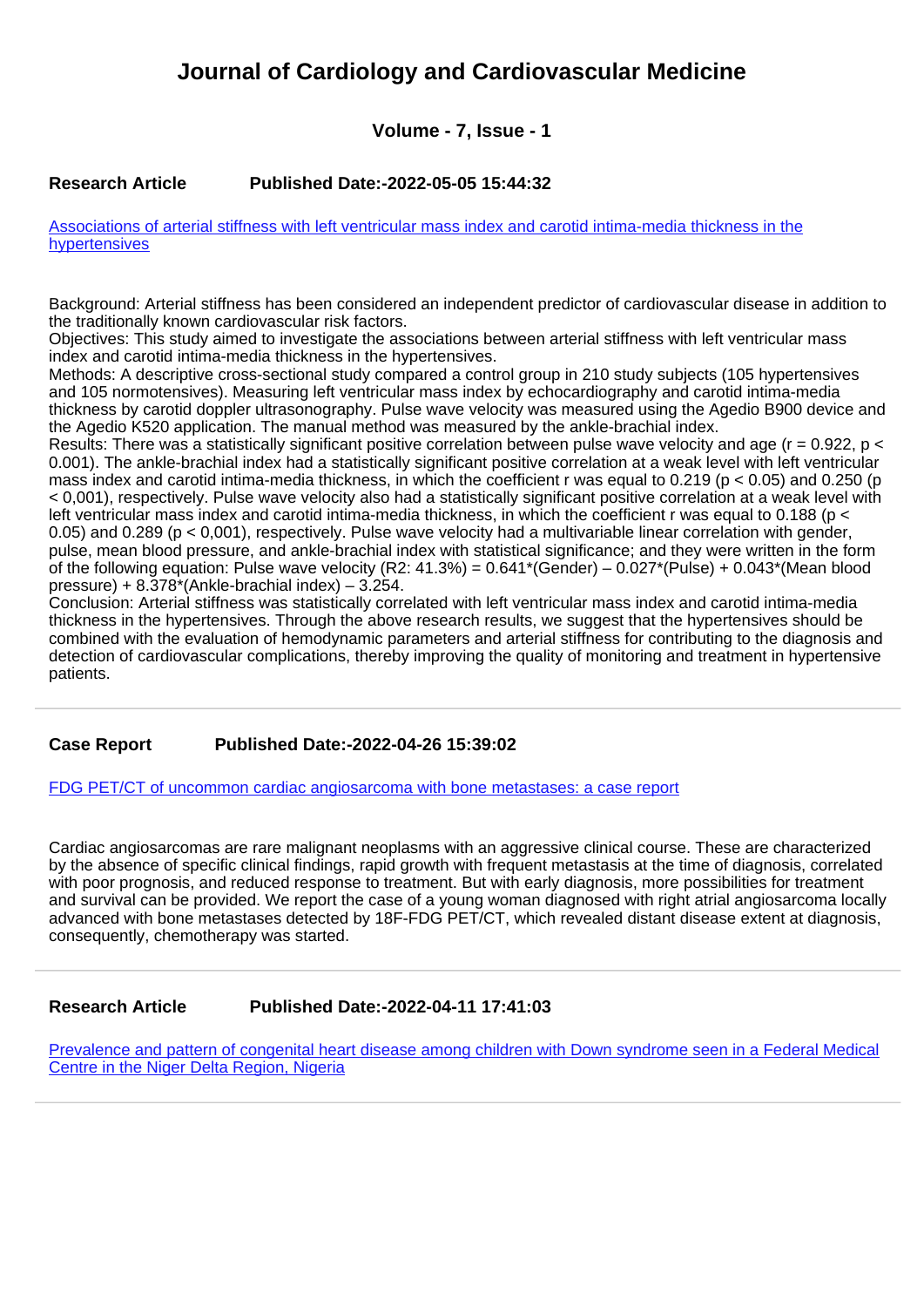# **Journal of Cardiology and Cardiovascular Medicine**

# **Volume - 7, Issue - 1**

# **Research Article Published Date:-2022-05-05 15:44:32**

[Associations of arterial stiffness with left ventricular mass index and carotid intima-media thickness in the](https://www.cardiologymedjournal.com/articles/jccm-aid1131.pdf) [hypertensives](https://www.cardiologymedjournal.com/articles/jccm-aid1131.pdf)

Background: Arterial stiffness has been considered an independent predictor of cardiovascular disease in addition to the traditionally known cardiovascular risk factors.

Objectives: This study aimed to investigate the associations between arterial stiffness with left ventricular mass index and carotid intima-media thickness in the hypertensives.

Methods: A descriptive cross-sectional study compared a control group in 210 study subjects (105 hypertensives and 105 normotensives). Measuring left ventricular mass index by echocardiography and carotid intima-media thickness by carotid doppler ultrasonography. Pulse wave velocity was measured using the Agedio B900 device and the Agedio K520 application. The manual method was measured by the ankle-brachial index.

Results: There was a statistically significant positive correlation between pulse wave velocity and age ( $r = 0.922$ , p < 0.001). The ankle-brachial index had a statistically significant positive correlation at a weak level with left ventricular mass index and carotid intima-media thickness, in which the coefficient r was equal to 0.219 (p < 0.05) and 0.250 (p < 0,001), respectively. Pulse wave velocity also had a statistically significant positive correlation at a weak level with left ventricular mass index and carotid intima-media thickness, in which the coefficient r was equal to 0.188 (p < 0.05) and 0.289 (p < 0,001), respectively. Pulse wave velocity had a multivariable linear correlation with gender, pulse, mean blood pressure, and ankle-brachial index with statistical significance; and they were written in the form of the following equation: Pulse wave velocity (R2: 41.3%) =  $0.641*(Gender) - 0.027*(Pulse) + 0.043*(Mean blood)$ pressure) +  $8.\overline{378}^*$ (Ankle-brachial index) –  $3.254$ .

Conclusion: Arterial stiffness was statistically correlated with left ventricular mass index and carotid intima-media thickness in the hypertensives. Through the above research results, we suggest that the hypertensives should be combined with the evaluation of hemodynamic parameters and arterial stiffness for contributing to the diagnosis and detection of cardiovascular complications, thereby improving the quality of monitoring and treatment in hypertensive patients.

### **Case Report Published Date:-2022-04-26 15:39:02**

#### [FDG PET/CT of uncommon cardiac angiosarcoma with bone metastases: a case report](https://www.cardiologymedjournal.com/articles/jccm-aid1130.pdf)

Cardiac angiosarcomas are rare malignant neoplasms with an aggressive clinical course. These are characterized by the absence of specific clinical findings, rapid growth with frequent metastasis at the time of diagnosis, correlated with poor prognosis, and reduced response to treatment. But with early diagnosis, more possibilities for treatment and survival can be provided. We report the case of a young woman diagnosed with right atrial angiosarcoma locally advanced with bone metastases detected by 18F-FDG PET/CT, which revealed distant disease extent at diagnosis, consequently, chemotherapy was started.

### **Research Article Published Date:-2022-04-11 17:41:03**

[Prevalence and pattern of congenital heart disease among children with Down syndrome seen in a Federal Medical](https://www.cardiologymedjournal.com/articles/jccm-aid1129.pdf) [Centre in the Niger Delta Region, Nigeria](https://www.cardiologymedjournal.com/articles/jccm-aid1129.pdf)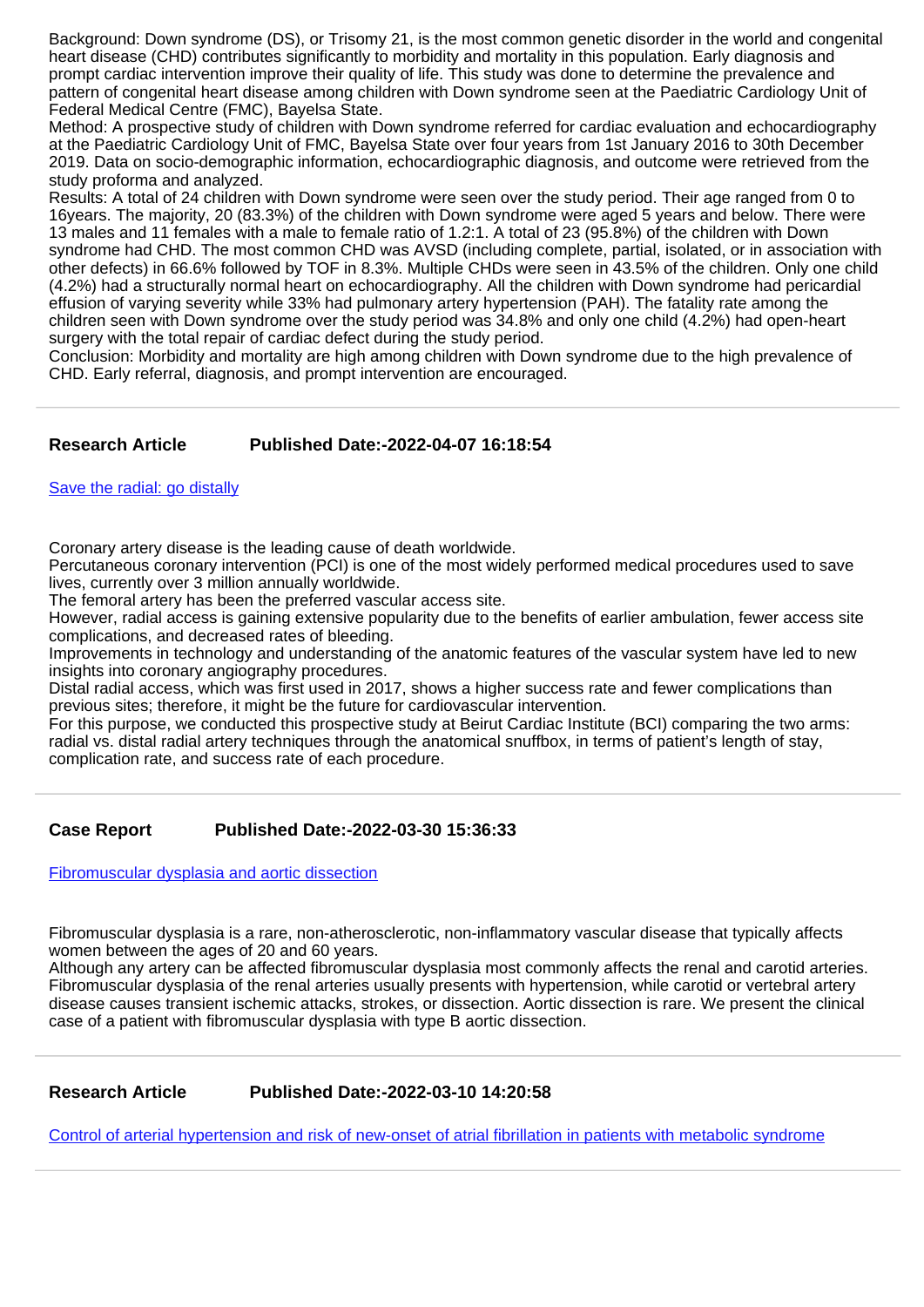Background: Down syndrome (DS), or Trisomy 21, is the most common genetic disorder in the world and congenital heart disease (CHD) contributes significantly to morbidity and mortality in this population. Early diagnosis and prompt cardiac intervention improve their quality of life. This study was done to determine the prevalence and pattern of congenital heart disease among children with Down syndrome seen at the Paediatric Cardiology Unit of Federal Medical Centre (FMC), Bayelsa State.

Method: A prospective study of children with Down syndrome referred for cardiac evaluation and echocardiography at the Paediatric Cardiology Unit of FMC, Bayelsa State over four years from 1st January 2016 to 30th December 2019. Data on socio-demographic information, echocardiographic diagnosis, and outcome were retrieved from the study proforma and analyzed.

Results: A total of 24 children with Down syndrome were seen over the study period. Their age ranged from 0 to 16years. The majority, 20 (83.3%) of the children with Down syndrome were aged 5 years and below. There were 13 males and 11 females with a male to female ratio of 1.2:1. A total of 23 (95.8%) of the children with Down syndrome had CHD. The most common CHD was AVSD (including complete, partial, isolated, or in association with other defects) in 66.6% followed by TOF in 8.3%. Multiple CHDs were seen in 43.5% of the children. Only one child (4.2%) had a structurally normal heart on echocardiography. All the children with Down syndrome had pericardial effusion of varying severity while 33% had pulmonary artery hypertension (PAH). The fatality rate among the children seen with Down syndrome over the study period was 34.8% and only one child (4.2%) had open-heart surgery with the total repair of cardiac defect during the study period.

Conclusion: Morbidity and mortality are high among children with Down syndrome due to the high prevalence of CHD. Early referral, diagnosis, and prompt intervention are encouraged.

# **Research Article Published Date:-2022-04-07 16:18:54**

[Save the radial: go distally](https://www.cardiologymedjournal.com/articles/jccm-aid1128.pdf)

Coronary artery disease is the leading cause of death worldwide.

Percutaneous coronary intervention (PCI) is one of the most widely performed medical procedures used to save lives, currently over 3 million annually worldwide.

The femoral artery has been the preferred vascular access site.

However, radial access is gaining extensive popularity due to the benefits of earlier ambulation, fewer access site complications, and decreased rates of bleeding.

Improvements in technology and understanding of the anatomic features of the vascular system have led to new insights into coronary angiography procedures.

Distal radial access, which was first used in 2017, shows a higher success rate and fewer complications than previous sites; therefore, it might be the future for cardiovascular intervention.

For this purpose, we conducted this prospective study at Beirut Cardiac Institute (BCI) comparing the two arms: radial vs. distal radial artery techniques through the anatomical snuffbox, in terms of patient's length of stay, complication rate, and success rate of each procedure.

# **Case Report Published Date:-2022-03-30 15:36:33**

[Fibromuscular dysplasia and aortic dissection](https://www.cardiologymedjournal.com/articles/jccm-aid1127.pdf)

Fibromuscular dysplasia is a rare, non-atherosclerotic, non-inflammatory vascular disease that typically affects women between the ages of 20 and 60 years.

Although any artery can be affected fibromuscular dysplasia most commonly affects the renal and carotid arteries. Fibromuscular dysplasia of the renal arteries usually presents with hypertension, while carotid or vertebral artery disease causes transient ischemic attacks, strokes, or dissection. Aortic dissection is rare. We present the clinical case of a patient with fibromuscular dysplasia with type B aortic dissection.

### **Research Article Published Date:-2022-03-10 14:20:58**

[Control of arterial hypertension and risk of new-onset of atrial fibrillation in patients with metabolic syndrome](https://www.cardiologymedjournal.com/articles/jccm-aid1126.pdf)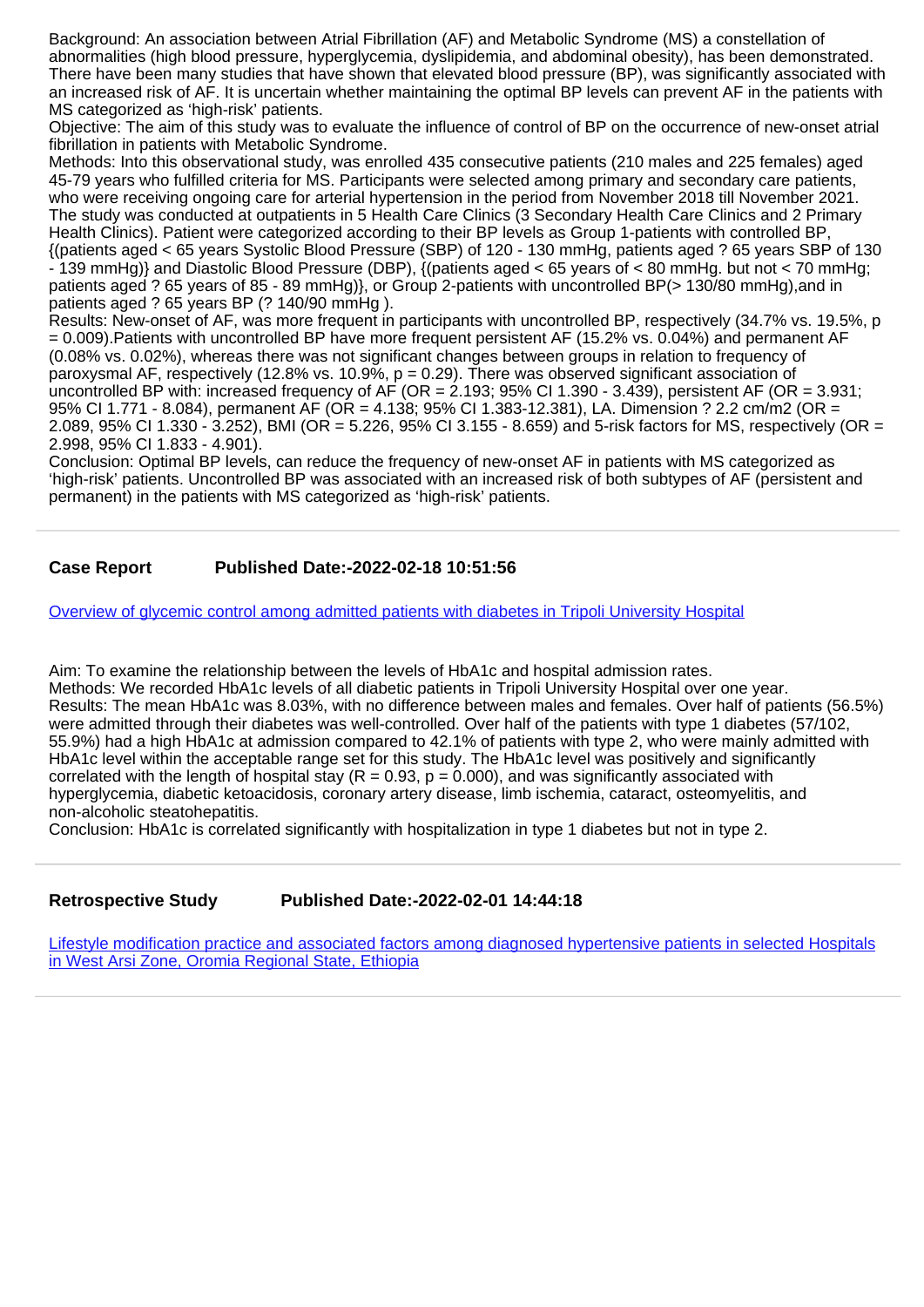Background: An association between Atrial Fibrillation (AF) and Metabolic Syndrome (MS) a constellation of abnormalities (high blood pressure, hyperglycemia, dyslipidemia, and abdominal obesity), has been demonstrated. There have been many studies that have shown that elevated blood pressure (BP), was significantly associated with an increased risk of AF. It is uncertain whether maintaining the optimal BP levels can prevent AF in the patients with MS categorized as 'high-risk' patients.

Objective: The aim of this study was to evaluate the influence of control of BP on the occurrence of new-onset atrial fibrillation in patients with Metabolic Syndrome.

Methods: Into this observational study, was enrolled 435 consecutive patients (210 males and 225 females) aged 45-79 years who fulfilled criteria for MS. Participants were selected among primary and secondary care patients, who were receiving ongoing care for arterial hypertension in the period from November 2018 till November 2021. The study was conducted at outpatients in 5 Health Care Clinics (3 Secondary Health Care Clinics and 2 Primary Health Clinics). Patient were categorized according to their BP levels as Group 1-patients with controlled BP, {(patients aged < 65 years Systolic Blood Pressure (SBP) of 120 - 130 mmHg, patients aged ? 65 years SBP of 130  $-139$  mmHg)} and Diastolic Blood Pressure (DBP), {(patients aged < 65 years of < 80 mmHg. but not < 70 mmHg; patients aged ? 65 years of 85 - 89 mmHg)}, or Group 2-patients with uncontrolled BP(> 130/80 mmHg), and in patients aged ? 65 years BP (? 140/90 mmHg).

Results: New-onset of AF, was more frequent in participants with uncontrolled BP, respectively (34.7% vs. 19.5%, p = 0.009).Patients with uncontrolled BP have more frequent persistent AF (15.2% vs. 0.04%) and permanent AF (0.08% vs. 0.02%), whereas there was not significant changes between groups in relation to frequency of paroxysmal AF, respectively (12.8% vs. 10.9%,  $p = 0.29$ ). There was observed significant association of uncontrolled BP with: increased frequency of AF (OR =  $2.193$ ; 95% CI 1.390 - 3.439), persistent AF (OR = 3.931; 95% CI 1.771 - 8.084), permanent AF (OR = 4.138; 95% CI 1.383-12.381), LA. Dimension ? 2.2 cm/m2 (OR = 2.089, 95% CI 1.330 - 3.252), BMI (OR = 5.226, 95% CI 3.155 - 8.659) and 5-risk factors for MS, respectively (OR = 2.998, 95% CI 1.833 - 4.901).

Conclusion: Optimal BP levels, can reduce the frequency of new-onset AF in patients with MS categorized as 'high-risk' patients. Uncontrolled BP was associated with an increased risk of both subtypes of AF (persistent and permanent) in the patients with MS categorized as 'high-risk' patients.

## **Case Report Published Date:-2022-02-18 10:51:56**

[Overview of glycemic control among admitted patients with diabetes in Tripoli University Hospital](https://www.cardiologymedjournal.com/articles/jccm-aid1125.pdf)

Aim: To examine the relationship between the levels of HbA1c and hospital admission rates. Methods: We recorded HbA1c levels of all diabetic patients in Tripoli University Hospital over one year. Results: The mean HbA1c was 8.03%, with no difference between males and females. Over half of patients (56.5%) were admitted through their diabetes was well-controlled. Over half of the patients with type 1 diabetes (57/102, 55.9%) had a high HbA1c at admission compared to 42.1% of patients with type 2, who were mainly admitted with HbA1c level within the acceptable range set for this study. The HbA1c level was positively and significantly correlated with the length of hospital stay ( $R = 0.93$ ,  $p = 0.000$ ), and was significantly associated with hyperglycemia, diabetic ketoacidosis, coronary artery disease, limb ischemia, cataract, osteomyelitis, and non-alcoholic steatohepatitis.

Conclusion: HbA1c is correlated significantly with hospitalization in type 1 diabetes but not in type 2.

**Retrospective Study Published Date:-2022-02-01 14:44:18**

[Lifestyle modification practice and associated factors among diagnosed hypertensive patients in selected Hospitals](https://www.cardiologymedjournal.com/articles/jccm-aid1124.pdf) [in West Arsi Zone, Oromia Regional State, Ethiopia](https://www.cardiologymedjournal.com/articles/jccm-aid1124.pdf)